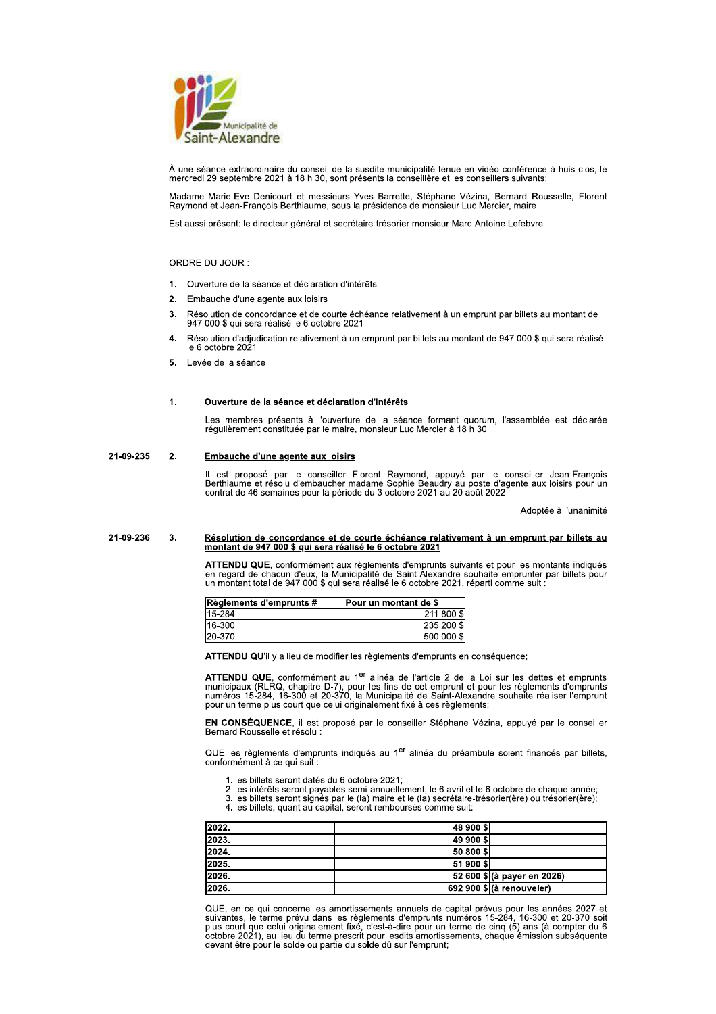

À une séance extraordinaire du conseil de la susdite municipalité tenue en vidéo conférence à huis clos, le mercredi 29 septembre 2021 à 18 h 30, sont présents la conseillère et les conseillers suivants:

Madame Marie-Eve Denicourt et messieurs Yves Barrette, Stéphane Vézina, Bernard Rousselle, Florent<br>Raymond et Jean-François Berthiaume, sous la présidence de monsieur Luc Mercier, maire.

Est aussi présent: le directeur général et secrétaire-trésorier monsieur Marc-Antoine Lefebvre.

# ORDRE DU JOUR :

- $\mathbf{1}$ Ouverture de la séance et déclaration d'intérêts
- $2.$ Embauche d'une agente aux loisirs
- $\overline{3}$ Résolution de concordance et de courte échéance relativement à un emprunt par billets au montant de 947 000 \$ qui sera réalisé le 6 octobre 2021
- Résolution d'adjudication relativement à un emprunt par billets au montant de 947 000 \$ qui sera réalisé  $\boldsymbol{4}$ . le 6 octobre 2021
- Levée de la séance 5.

## $\overline{1}$ Ouverture de la séance et déclaration d'intérêts

Les membres présents à l'ouverture de la séance formant quorum. l'assemblée est déclarée régulièrement constituée par le maire, monsieur Luc Mercier à 18 h 30.

#### 21-09-235  $\overline{2}$ Embauche d'une agente aux loisirs

Il est proposé par le conseiller Florent Raymond, appuyé par le conseiller Jean-François<br>Berthiaume et résolu d'embaucher madame Sophie Beaudry au poste d'agente aux loisirs pour un<br>contrat de 46 semaines pour la période d

Adoptée à l'unanimité

### 21-09-236  $\mathbf{R}$ Résolution de concordance et de courte échéance relativement à un emprunt par billets au montant de 947 000 \$ qui sera réalisé le 6 octobre 2021

ATTENDU QUE, conformément aux règlements d'emprunts suivants et pour les montants indiqués<br>en regard de chacun d'eux, la Municipalité de Saint-Alexandre souhaite emprunter par billets pour<br>un montant total de 947 000 \$ qui

| Règlements d'emprunts # | <b>Pour un montant de \$</b> |  |
|-------------------------|------------------------------|--|
| 15-284                  | 211 800 9                    |  |
| 16-300                  | 235 200 \$                   |  |
| 20-370                  | 500 000 \$                   |  |

ATTENDU QU'il y a lieu de modifier les règlements d'emprunts en conséquence;

ATTENDU QUE, conformément au 1<sup>er</sup> alinéa de l'article 2 de la Loi sur les dettes et emprunts<br>municipaux (RLRQ, chapitre D-7), pour les fins de cet emprunt et pour les règlements d'emprunts<br>numéros 15-284, 16-300 et 20-370 pour un terme plus court que celui originalement fixé à ces règlements;

EN CONSÉQUENCE, il est proposé par le conseiller Stéphane Vézina, appuyé par le conseiller Bernard Rousselle et résolu :

QUE les règlements d'emprunts indiqués au 1<sup>er</sup> alinéa du préambule soient financés par billets, conformément à ce qui suit :

- les billets seront datés du 6 octobre 2021;
- se intérêts seront payables semi-annuellement, le 6 avril et le 6 octobre de chaque année;<br>3. les billets seront signés par le (la) maire et le (la) secrétaire-trésorier(ère) ou trésorier(ère);
- 4. les billets, quant au capital, seront remboursés comme suit:

| 2022. | 48 900 \$                   |
|-------|-----------------------------|
| 2023. | 49 900 S                    |
| 2024. | 50 800 \$                   |
| 2025. | 51 900 \$                   |
| 2026. | 52 600 \$ (à payer en 2026) |
| 2026. | 692 900 \$ (à renouveler)   |

QUE, en ce qui concerne les amortissements annuels de capital prévus pour les années 2027 et suivantes, le terme prévu dans les règlements d'emprunts numéros 15-284, 16-300 et 20-370 soit plus court que celui originalement devant être pour le solde ou partie du solde dû sur l'emprunt,